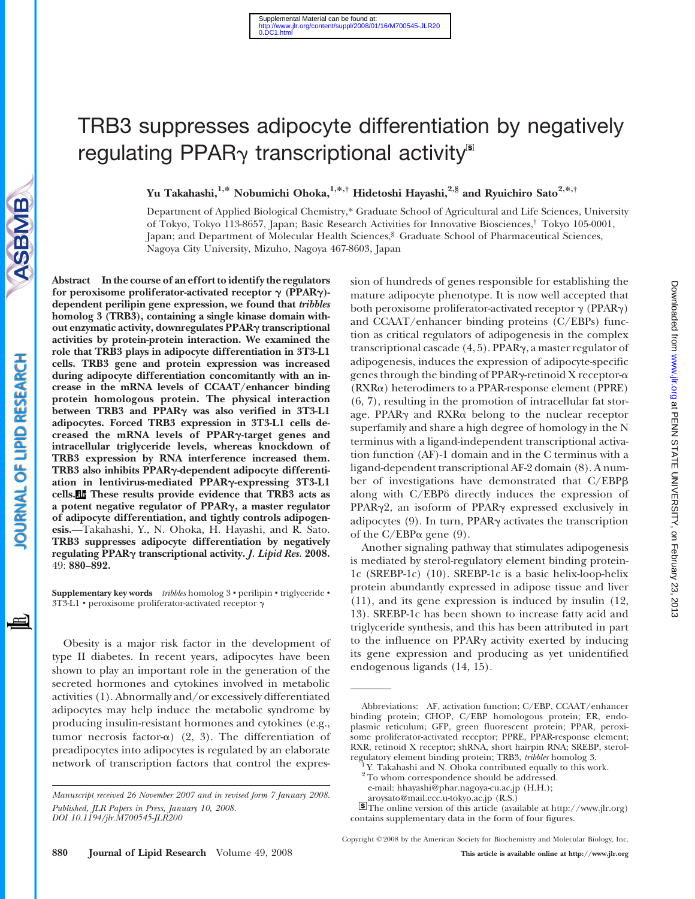# TRB3 suppresses adipocyte differentiation by negatively regulating PPAR $\gamma$  transcriptional activity<sup>s</sup>

# Yu Takahashi,<sup>1,\*</sup> Nobumichi Ohoka,<sup>1,\*,†</sup> Hidetoshi Hayashi,<sup>2,§</sup> and Ryuichiro Sato<sup>2,\*,†</sup>

Department of Applied Biological Chemistry,\* Graduate School of Agricultural and Life Sciences, University of Tokyo, Tokyo 113-8657, Japan; Basic Research Activities for Innovative Biosciences,† Tokyo 105-0001, Japan; and Department of Molecular Health Sciences,<sup>§</sup> Graduate School of Pharmaceutical Sciences, Nagoya City University, Mizuho, Nagoya 467-8603, Japan

Abstract In the course of an effort to identify the regulators for peroxisome proliferator-activated receptor  $\gamma$  (PPAR $\gamma$ )dependent perilipin gene expression, we found that tribbles homolog 3 (TRB3), containing a single kinase domain without enzymatic activity, downregulates PPARg transcriptional activities by protein-protein interaction. We examined the role that TRB3 plays in adipocyte differentiation in 3T3-L1 cells. TRB3 gene and protein expression was increased during adipocyte differentiation concomitantly with an increase in the mRNA levels of CCAAT/enhancer binding protein homologous protein. The physical interaction between TRB3 and PPAR<sub>Y</sub> was also verified in 3T3-L1 adipocytes. Forced TRB3 expression in 3T3-L1 cells decreased the mRNA levels of PPARg-target genes and intracellular triglyceride levels, whereas knockdown of TRB3 expression by RNA interference increased them. TRB3 also inhibits PPARg-dependent adipocyte differentiation in lentivirus-mediated PPARg-expressing 3T3-L1 cells. These results provide evidence that TRB3 acts as a potent negative regulator of PPAR<sub>Y</sub>, a master regulator of adipocyte differentiation, and tightly controls adipogenesis.—Takahashi, Y., N. Ohoka, H. Hayashi, and R. Sato. TRB3 suppresses adipocyte differentiation by negatively regulating PPARg transcriptional activity. J. Lipid Res. 2008. 49: 880–892.

Supplementary key words tribbles homolog 3 · perilipin · triglyceride · 3T3-L1  $\cdot$  peroxisome proliferator-activated receptor  $\gamma$ 

Obesity is a major risk factor in the development of type II diabetes. In recent years, adipocytes have been shown to play an important role in the generation of the secreted hormones and cytokines involved in metabolic activities (1). Abnormally and/or excessively differentiated adipocytes may help induce the metabolic syndrome by producing insulin-resistant hormones and cytokines (e.g., tumor necrosis factor- $\alpha$ ) (2, 3). The differentiation of preadipocytes into adipocytes is regulated by an elaborate network of transcription factors that control the expression of hundreds of genes responsible for establishing the mature adipocyte phenotype. It is now well accepted that both peroxisome proliferator-activated receptor  $\gamma$  (PPAR $\gamma$ ) and CCAAT/enhancer binding proteins (C/EBPs) function as critical regulators of adipogenesis in the complex transcriptional cascade (4, 5). PPAR $\gamma$ , a master regulator of adipogenesis, induces the expression of adipocyte-specific genes through the binding of PPAR $\gamma$ -retinoid X receptor- $\alpha$ (RXRa) heterodimers to a PPAR-response element (PPRE) (6, 7), resulting in the promotion of intracellular fat storage. PPARg and RXRa belong to the nuclear receptor superfamily and share a high degree of homology in the N terminus with a ligand-independent transcriptional activation function (AF)-1 domain and in the C terminus with a ligand-dependent transcriptional AF-2 domain (8). A number of investigations have demonstrated that C/EBPB along with  $C/EBP\delta$  directly induces the expression of PPAR $\gamma$ 2, an isoform of PPAR $\gamma$  expressed exclusively in adipocytes  $(9)$ . In turn, PPAR $\gamma$  activates the transcription of the C/EBPa gene (9).

Another signaling pathway that stimulates adipogenesis is mediated by sterol-regulatory element binding protein-1c (SREBP-1c) (10). SREBP-1c is a basic helix-loop-helix protein abundantly expressed in adipose tissue and liver (11), and its gene expression is induced by insulin (12, 13). SREBP-1c has been shown to increase fatty acid and triglyceride synthesis, and this has been attributed in part to the influence on PPARg activity exerted by inducing its gene expression and producing as yet unidentified endogenous ligands (14, 15).

≝

Manuscript received 26 November 2007 and in revised form 7 January 2008. Published, JLR Papers in Press, January 10, 2008. DOI 10.1194/jlr.M700545-JLR200

Abbreviations: AF, activation function; C/EBP, CCAAT/enhancer binding protein; CHOP, C/EBP homologous protein; ER, endoplasmic reticulum; GFP, green fluorescent protein; PPAR, peroxisome proliferator-activated receptor; PPRE, PPAR-response element; RXR, retinoid X receptor; shRNA, short hairpin RNA; SREBP, sterol-regulatory element binding protein; TRB3, *tribbles* homolog 3.

Y. Takahashi and N. Ohoka contributed equally to this work.

 $^{\rm 2}$  To whom correspondence should be addressed. e-mail: hhayashi@phar.nagoya-cu.ac.jp (H.H.);

aroysato@mail.ecc.u-tokyo.ac.jp (R.S.)

The online version of this article (available at http://www.jlr.org) contains supplementary data in the form of four figures.

Copyright © 2008 by the American Society for Biochemistry and Molecular Biology, Inc.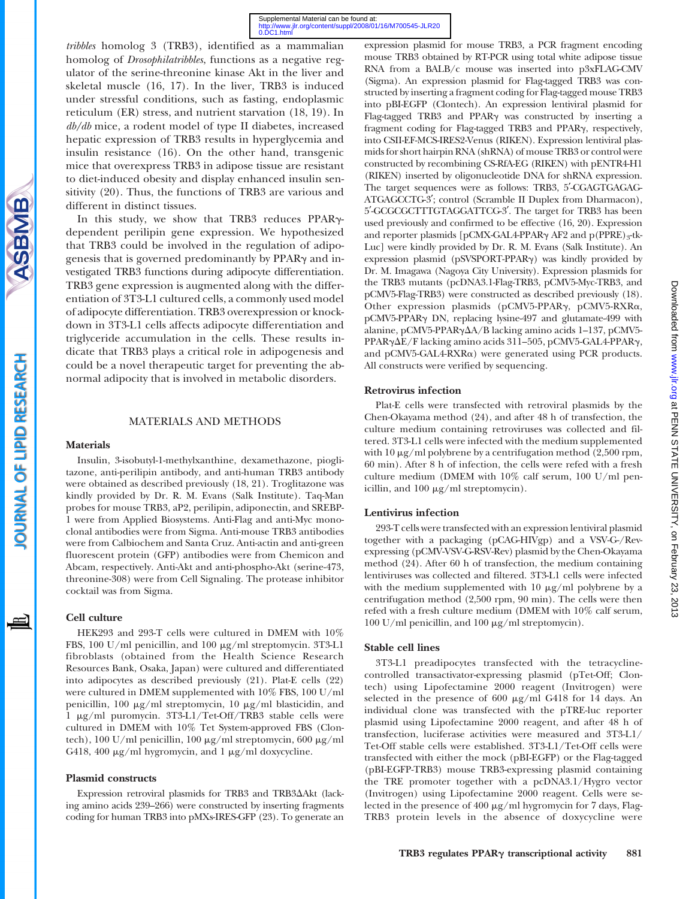tribbles homolog 3 (TRB3), identified as a mammalian homolog of Drosophilatribbles, functions as a negative regulator of the serine-threonine kinase Akt in the liver and skeletal muscle (16, 17). In the liver, TRB3 is induced under stressful conditions, such as fasting, endoplasmic reticulum (ER) stress, and nutrient starvation (18, 19). In db/db mice, a rodent model of type II diabetes, increased hepatic expression of TRB3 results in hyperglycemia and insulin resistance (16). On the other hand, transgenic mice that overexpress TRB3 in adipose tissue are resistant to diet-induced obesity and display enhanced insulin sensitivity (20). Thus, the functions of TRB3 are various and different in distinct tissues.

In this study, we show that TRB3 reduces PPAR<sub>Y</sub>dependent perilipin gene expression. We hypothesized that TRB3 could be involved in the regulation of adipogenesis that is governed predominantly by PPARg and investigated TRB3 functions during adipocyte differentiation. TRB3 gene expression is augmented along with the differentiation of 3T3-L1 cultured cells, a commonly used model of adipocyte differentiation. TRB3 overexpression or knockdown in 3T3-L1 cells affects adipocyte differentiation and triglyceride accumulation in the cells. These results indicate that TRB3 plays a critical role in adipogenesis and could be a novel therapeutic target for preventing the abnormal adipocity that is involved in metabolic disorders.

## MATERIALS AND METHODS

#### Materials

Insulin, 3-isobutyl-1-methylxanthine, dexamethazone, pioglitazone, anti-perilipin antibody, and anti-human TRB3 antibody were obtained as described previously (18, 21). Troglitazone was kindly provided by Dr. R. M. Evans (Salk Institute). Taq-Man probes for mouse TRB3, aP2, perilipin, adiponectin, and SREBP-1 were from Applied Biosystems. Anti-Flag and anti-Myc monoclonal antibodies were from Sigma. Anti-mouse TRB3 antibodies were from Calbiochem and Santa Cruz. Anti-actin and anti-green fluorescent protein (GFP) antibodies were from Chemicon and Abcam, respectively. Anti-Akt and anti-phospho-Akt (serine-473, threonine-308) were from Cell Signaling. The protease inhibitor cocktail was from Sigma.

## Cell culture

HEK293 and 293-T cells were cultured in DMEM with 10% FBS, 100 U/ml penicillin, and 100 mg/ml streptomycin. 3T3-L1 fibroblasts (obtained from the Health Science Research Resources Bank, Osaka, Japan) were cultured and differentiated into adipocytes as described previously (21). Plat-E cells (22) were cultured in DMEM supplemented with 10% FBS, 100 U/ml penicillin, 100  $\mu$ g/ml streptomycin, 10  $\mu$ g/ml blasticidin, and 1 mg/ml puromycin. 3T3-L1/Tet-Off/TRB3 stable cells were cultured in DMEM with 10% Tet System-approved FBS (Clontech), 100 U/ml penicillin, 100  $\mu$ g/ml streptomycin, 600  $\mu$ g/ml G418, 400  $\mu$ g/ml hygromycin, and 1  $\mu$ g/ml doxycycline.

#### Plasmid constructs

Expression retroviral plasmids for TRB3 and TRB3 $\Delta$ Akt (lacking amino acids 239–266) were constructed by inserting fragments coding for human TRB3 into pMXs-IRES-GFP (23). To generate an

expression plasmid for mouse TRB3, a PCR fragment encoding mouse TRB3 obtained by RT-PCR using total white adipose tissue RNA from a BALB/c mouse was inserted into p3xFLAG-CMV (Sigma). An expression plasmid for Flag-tagged TRB3 was constructed by inserting a fragment coding for Flag-tagged mouse TRB3 into pBI-EGFP (Clontech). An expression lentiviral plasmid for Flag-tagged TRB3 and PPARg was constructed by inserting a fragment coding for Flag-tagged TRB3 and PPARg, respectively, into CSII-EF-MCS-IRES2-Venus (RIKEN). Expression lentiviral plasmids for short hairpin RNA (shRNA) of mouse TRB3 or control were constructed by recombining CS-RfA-EG (RIKEN) with pENTR4-H1 (RIKEN) inserted by oligonucleotide DNA for shRNA expression. The target sequences were as follows: TRB3, 5'-CGAGTGAGAG-ATGAGCCTG-3'; control (Scramble II Duplex from Dharmacon), 5'-GCGCGCTTTGTAGGATTCG-3'. The target for TRB3 has been used previously and confirmed to be effective (16, 20). Expression and reporter plasmids [pCMX-GAL4-PPAR $\gamma$  AF2 and p(PPRE)<sub>3</sub>-tk-Luc] were kindly provided by Dr. R. M. Evans (Salk Institute). An expression plasmid (pSVSPORT-PPARg) was kindly provided by Dr. M. Imagawa (Nagoya City University). Expression plasmids for the TRB3 mutants (pcDNA3.1-Flag-TRB3, pCMV5-Myc-TRB3, and pCMV5-Flag-TRB3) were constructed as described previously (18). Other expression plasmids (pCMV5-PPARg, pCMV5-RXRa, pCMV5-PPARg DN, replacing lysine-497 and glutamate-499 with alanine, pCMV5-PPAR $\gamma\Delta A/B$  lacking amino acids 1–137, pCMV5-PPAR $\gamma\Delta E/F$  lacking amino acids 311-505, pCMV5-GAL4-PPAR $\gamma$ , and pCMV5-GAL4-RXRa) were generated using PCR products. All constructs were verified by sequencing.

#### Retrovirus infection

Plat-E cells were transfected with retroviral plasmids by the Chen-Okayama method (24), and after 48 h of transfection, the culture medium containing retroviruses was collected and filtered. 3T3-L1 cells were infected with the medium supplemented with 10  $\mu$ g/ml polybrene by a centrifugation method (2,500 rpm, 60 min). After 8 h of infection, the cells were refed with a fresh culture medium (DMEM with 10% calf serum, 100 U/ml penicillin, and  $100 \mu g/ml$  streptomycin).

#### Lentivirus infection

293-T cells were transfected with an expression lentiviral plasmid together with a packaging (pCAG-HIVgp) and a VSV-G-/Revexpressing (pCMV-VSV-G-RSV-Rev) plasmid by the Chen-Okayama method (24). After 60 h of transfection, the medium containing lentiviruses was collected and filtered. 3T3-L1 cells were infected with the medium supplemented with  $10 \mu g/ml$  polybrene by a centrifugation method (2,500 rpm, 90 min). The cells were then refed with a fresh culture medium (DMEM with 10% calf serum, 100 U/ml penicillin, and 100  $\mu$ g/ml streptomycin).

#### Stable cell lines

3T3-L1 preadipocytes transfected with the tetracyclinecontrolled transactivator-expressing plasmid (pTet-Off; Clontech) using Lipofectamine 2000 reagent (Invitrogen) were selected in the presence of  $600 \mu g/ml$  G418 for 14 days. An individual clone was transfected with the pTRE-luc reporter plasmid using Lipofectamine 2000 reagent, and after 48 h of transfection, luciferase activities were measured and 3T3-L1/ Tet-Off stable cells were established. 3T3-L1/Tet-Off cells were transfected with either the mock (pBI-EGFP) or the Flag-tagged (pBI-EGFP-TRB3) mouse TRB3-expressing plasmid containing the TRE promoter together with a pcDNA3.1/Hygro vector (Invitrogen) using Lipofectamine 2000 reagent. Cells were selected in the presence of  $400 \mu g/ml$  hygromycin for 7 days, Flag-TRB3 protein levels in the absence of doxycycline were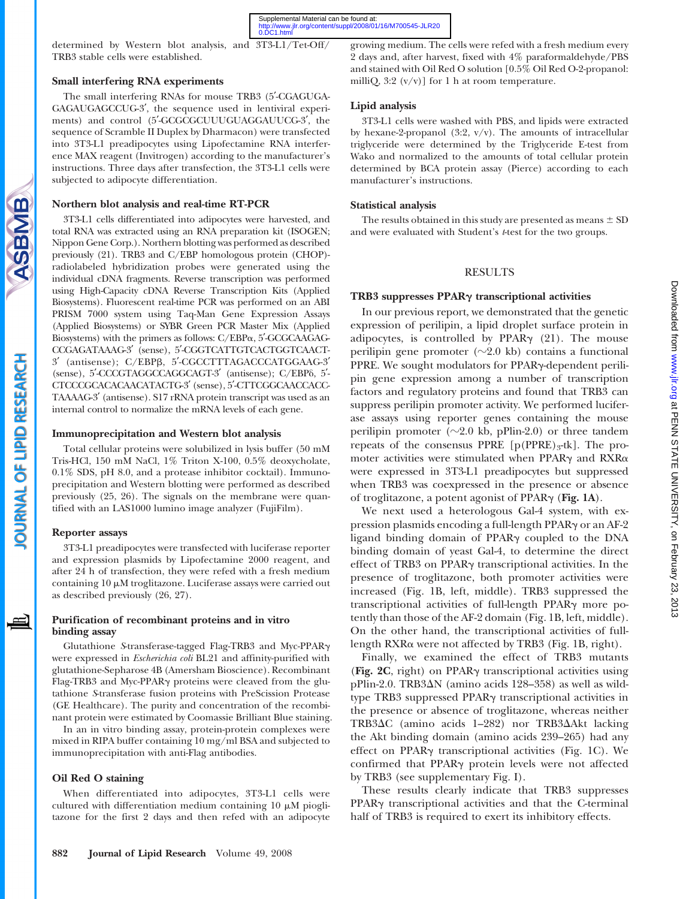determined by Western blot analysis, and 3T3-L1/Tet-Off/ TRB3 stable cells were established.

# Small interfering RNA experiments

The small interfering RNAs for mouse TRB3 (5'-CGAGUGA-GAGAUGAGCCUG-3', the sequence used in lentiviral experiments) and control (5'-GCGCGCUUUGUAGGAUUCG-3', the sequence of Scramble II Duplex by Dharmacon) were transfected into 3T3-L1 preadipocytes using Lipofectamine RNA interference MAX reagent (Invitrogen) according to the manufacturer's instructions. Three days after transfection, the 3T3-L1 cells were subjected to adipocyte differentiation.

# Northern blot analysis and real-time RT-PCR

3T3-L1 cells differentiated into adipocytes were harvested, and total RNA was extracted using an RNA preparation kit (ISOGEN; Nippon Gene Corp.). Northern blotting was performed as described previously (21). TRB3 and C/EBP homologous protein (CHOP) radiolabeled hybridization probes were generated using the individual cDNA fragments. Reverse transcription was performed using High-Capacity cDNA Reverse Transcription Kits (Applied Biosystems). Fluorescent real-time PCR was performed on an ABI PRISM 7000 system using Taq-Man Gene Expression Assays (Applied Biosystems) or SYBR Green PCR Master Mix (Applied Biosystems) with the primers as follows:  $C/EBP\alpha$ ,  $5'$ -GCGCAAGAG-CCGAGATAAAG-3' (sense), 5'-CGGTCATTGTCACTGGTCAACT-3' (antisense); C/EBPB, 5'-CGCCTTTAGACCCATGGAAG-3' (sense), 5'-CCCGTAGGCCAGGCAGT-3' (antisense); C/EBP $\delta$ , 5'-CTCCCGCACACAACATACTG-3' (sense), 5'-CTTCGGCAACCACC-TAAAAG-3' (antisense). S17 rRNA protein transcript was used as an internal control to normalize the mRNA levels of each gene.

## Immunoprecipitation and Western blot analysis

Total cellular proteins were solubilized in lysis buffer (50 mM Tris-HCl, 150 mM NaCl, 1% Triton X-100, 0.5% deoxycholate, 0.1% SDS, pH 8.0, and a protease inhibitor cocktail). Immunoprecipitation and Western blotting were performed as described previously (25, 26). The signals on the membrane were quantified with an LAS1000 lumino image analyzer (FujiFilm).

## Reporter assays

3T3-L1 preadipocytes were transfected with luciferase reporter and expression plasmids by Lipofectamine 2000 reagent, and after 24 h of transfection, they were refed with a fresh medium containing  $10 \mu$ M troglitazone. Luciferase assays were carried out as described previously (26, 27).

## Purification of recombinant proteins and in vitro binding assay

Glutathione S-transferase-tagged Flag-TRB3 and Myc-PPARg were expressed in Escherichia coli BL21 and affinity-purified with glutathione-Sepharose 4B (Amersham Bioscience). Recombinant Flag-TRB3 and Myc-PPARg proteins were cleaved from the glutathione Stransferase fusion proteins with PreScission Protease (GE Healthcare). The purity and concentration of the recombinant protein were estimated by Coomassie Brilliant Blue staining.

In an in vitro binding assay, protein-protein complexes were mixed in RIPA buffer containing 10 mg/ml BSA and subjected to immunoprecipitation with anti-Flag antibodies.

# Oil Red O staining

When differentiated into adipocytes, 3T3-L1 cells were cultured with differentiation medium containing  $10 \mu M$  pioglitazone for the first 2 days and then refed with an adipocyte growing medium. The cells were refed with a fresh medium every 2 days and, after harvest, fixed with 4% paraformaldehyde/PBS and stained with Oil Red O solution [0.5% Oil Red O-2-propanol: milliQ,  $3:2 \frac{(v/v)}{\pi}$  for 1 h at room temperature.

# Lipid analysis

3T3-L1 cells were washed with PBS, and lipids were extracted by hexane-2-propanol  $(3:2, v/v)$ . The amounts of intracellular triglyceride were determined by the Triglyceride E-test from Wako and normalized to the amounts of total cellular protein determined by BCA protein assay (Pierce) according to each manufacturer's instructions.

# Statistical analysis

The results obtained in this study are presented as means  $\pm$  SD and were evaluated with Student's t-test for the two groups.

# RESULTS

## TRB3 suppresses PPARg transcriptional activities

In our previous report, we demonstrated that the genetic expression of perilipin, a lipid droplet surface protein in adipocytes, is controlled by PPAR $\gamma$  (21). The mouse perilipin gene promoter  $(\sim 2.0 \text{ kb})$  contains a functional PPRE. We sought modulators for PPAR $\gamma$ -dependent perilipin gene expression among a number of transcription factors and regulatory proteins and found that TRB3 can suppress perilipin promoter activity. We performed luciferase assays using reporter genes containing the mouse perilipin promoter ( $\sim$ 2.0 kb, pPlin-2.0) or three tandem repeats of the consensus PPRE  $[p(PPRE)_{3}$ -tk]. The promoter activities were stimulated when PPAR $\gamma$  and RXR $\alpha$ were expressed in 3T3-L1 preadipocytes but suppressed when TRB3 was coexpressed in the presence or absence of troglitazone, a potent agonist of PPARg (Fig. 1A).

We next used a heterologous Gal-4 system, with expression plasmids encoding a full-length PPARg or an AF-2 ligand binding domain of PPARg coupled to the DNA binding domain of yeast Gal-4, to determine the direct effect of TRB3 on PPARg transcriptional activities. In the presence of troglitazone, both promoter activities were increased (Fig. 1B, left, middle). TRB3 suppressed the transcriptional activities of full-length PPARg more potently than those of the AF-2 domain (Fig. 1B, left, middle). On the other hand, the transcriptional activities of fulllength RXRa were not affected by TRB3 (Fig. 1B, right).

Finally, we examined the effect of TRB3 mutants (Fig. 2C, right) on PPAR $\gamma$  transcriptional activities using pPlin-2.0. TRB3DN (amino acids 128–358) as well as wildtype TRB3 suppressed PPARg transcriptional activities in the presence or absence of troglitazone, whereas neither TRB3 $\Delta$ C (amino acids 1-282) nor TRB3 $\Delta$ Akt lacking the Akt binding domain (amino acids 239–265) had any effect on PPARg transcriptional activities (Fig. 1C). We confirmed that PPARg protein levels were not affected by TRB3 (see supplementary Fig. I).

These results clearly indicate that TRB3 suppresses PPAR<sub>Y</sub> transcriptional activities and that the C-terminal half of TRB3 is required to exert its inhibitory effects.

**SBMB**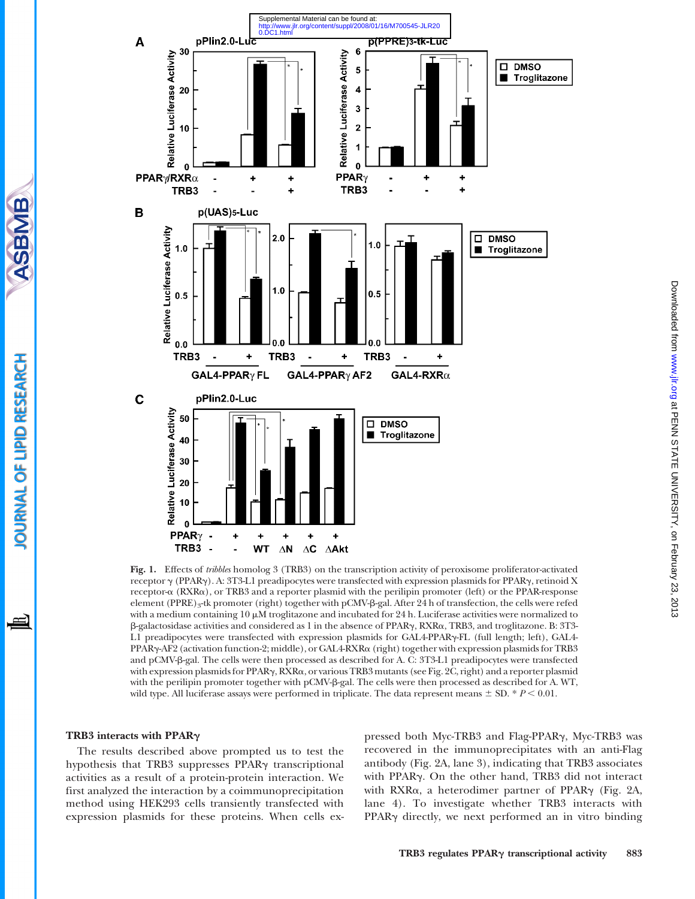

Fig. 1. Effects of tribbles homolog 3 (TRB3) on the transcription activity of peroxisome proliferator-activated receptor g (PPARg). A: 3T3-L1 preadipocytes were transfected with expression plasmids for PPARg, retinoid X receptor-a (RXRa), or TRB3 and a reporter plasmid with the perilipin promoter (left) or the PPAR-response element (PPRE)3-tk promoter (right) together with pCMV-b-gal. After 24 h of transfection, the cells were refed with a medium containing  $10 \mu$ M troglitazone and incubated for 24 h. Luciferase activities were normalized to  $\beta$ -galactosidase activities and considered as 1 in the absence of PPAR $\gamma$ , RXR $\alpha$ , TRB3, and troglitazone. B: 3T3-L1 preadipocytes were transfected with expression plasmids for GAL4-PPARg-FL (full length; left), GAL4- PPAR<sub>Y</sub>-AF2 (activation function-2; middle), or GAL4-RXR<sub>Q</sub> (right) together with expression plasmids for TRB3 and pCMV-b-gal. The cells were then processed as described for A. C: 3T3-L1 preadipocytes were transfected with expression plasmids for PPAR<sub>Y</sub>, RXR<sub>a</sub>, or various TRB3 mutants (see Fig. 2C, right) and a reporter plasmid with the perilipin promoter together with pCMV- $\beta$ -gal. The cells were then processed as described for A. WT, wild type. All luciferase assays were performed in triplicate. The data represent means  $\pm$  SD. \*  $P$  < 0.01.

#### TRB3 interacts with PPARg

The results described above prompted us to test the hypothesis that TRB3 suppresses PPAR<sub>Y</sub> transcriptional activities as a result of a protein-protein interaction. We first analyzed the interaction by a coimmunoprecipitation method using HEK293 cells transiently transfected with expression plasmids for these proteins. When cells ex-

pressed both Myc-TRB3 and Flag-PPARg, Myc-TRB3 was recovered in the immunoprecipitates with an anti-Flag antibody (Fig. 2A, lane 3), indicating that TRB3 associates with PPARg. On the other hand, TRB3 did not interact with RXR $\alpha$ , a heterodimer partner of PPAR $\gamma$  (Fig. 2A, lane 4). To investigate whether TRB3 interacts with PPAR<sub>Y</sub> directly, we next performed an in vitro binding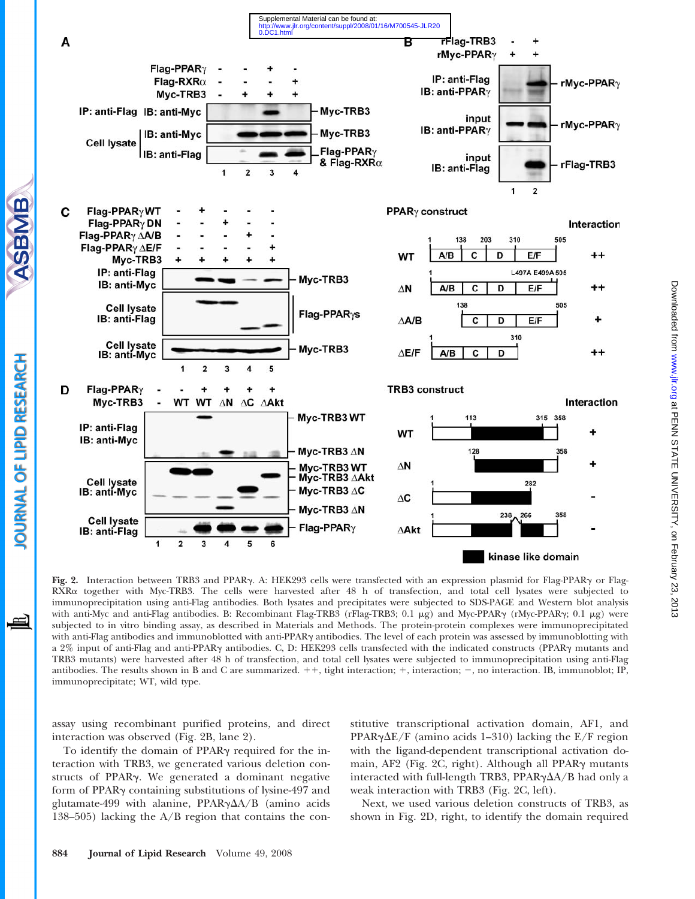

Downloaded from www.jlr.org at PENN STATE UNIVERSITY, on February 23, 2013 Download from State University, on Fehn State Blownlinks 23, 2013 2014 [www.jlr.org](http://www.jlr.org/) Download from State Download

Fig. 2. Interaction between TRB3 and PPARg. A: HEK293 cells were transfected with an expression plasmid for Flag-PPARg or Flag-RXRa together with Myc-TRB3. The cells were harvested after 48 h of transfection, and total cell lysates were subjected to immunoprecipitation using anti-Flag antibodies. Both lysates and precipitates were subjected to SDS-PAGE and Western blot analysis with anti-Myc and anti-Flag antibodies. B: Recombinant Flag-TRB3 (rFlag-TRB3; 0.1  $\mu$ g) and Myc-PPAR $\gamma$  (rMyc-PPAR $\gamma$ ; 0.1  $\mu$ g) were subjected to in vitro binding assay, as described in Materials and Methods. The protein-protein complexes were immunoprecipitated with anti-Flag antibodies and immunoblotted with anti-PPARg antibodies. The level of each protein was assessed by immunoblotting with a 2% input of anti-Flag and anti-PPARg antibodies. C, D: HEK293 cells transfected with the indicated constructs (PPARg mutants and TRB3 mutants) were harvested after 48 h of transfection, and total cell lysates were subjected to immunoprecipitation using anti-Flag antibodies. The results shown in B and C are summarized.  $++$ , tight interaction;  $+$ , interaction;  $-$ , no interaction. IB, immunoblot; IP, immunoprecipitate; WT, wild type.

assay using recombinant purified proteins, and direct interaction was observed (Fig. 2B, lane 2).

To identify the domain of PPAR $\gamma$  required for the interaction with TRB3, we generated various deletion constructs of PPARg. We generated a dominant negative form of PPARg containing substitutions of lysine-497 and glutamate-499 with alanine, PPAR $\gamma\Delta A/B$  (amino acids 138–505) lacking the A/B region that contains the constitutive transcriptional activation domain, AF1, and PPAR $\gamma\Delta E/F$  (amino acids 1–310) lacking the E/F region with the ligand-dependent transcriptional activation domain, AF2 (Fig. 2C, right). Although all PPAR $\gamma$  mutants interacted with full-length TRB3, PPAR $\gamma\Delta A/B$  had only a weak interaction with TRB3 (Fig. 2C, left).

Next, we used various deletion constructs of TRB3, as shown in Fig. 2D, right, to identify the domain required

SBMIB

OURNAL OF LIPID RESEARCH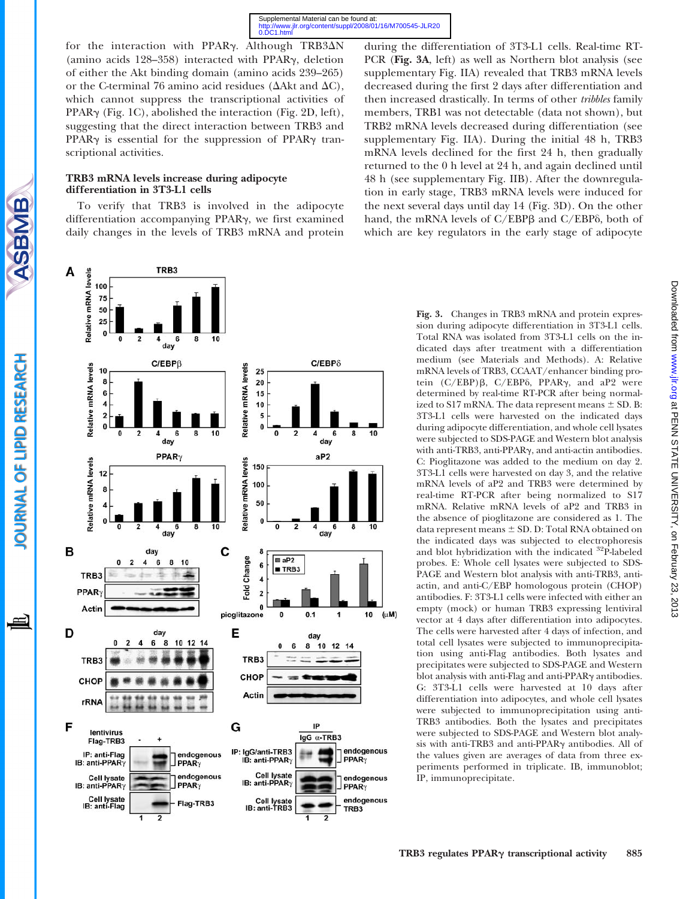for the interaction with PPAR $\gamma$ . Although TRB3 $\Delta$ N (amino acids  $128-358$ ) interacted with PPAR $\gamma$ , deletion of either the Akt binding domain (amino acids 239–265) or the C-terminal 76 amino acid residues ( $\Delta$ Akt and  $\Delta$ C), which cannot suppress the transcriptional activities of PPAR<sub>Y</sub> (Fig. 1C), abolished the interaction (Fig. 2D, left), suggesting that the direct interaction between TRB3 and PPAR $\gamma$  is essential for the suppression of PPAR $\gamma$  transcriptional activities.

## TRB3 mRNA levels increase during adipocyte differentiation in 3T3-L1 cells

**SBMB** 

**OURNAL OF LIPID RESEARCH** 

≞

To verify that TRB3 is involved in the adipocyte differentiation accompanying PPARg, we first examined daily changes in the levels of TRB3 mRNA and protein



during the differentiation of 3T3-L1 cells. Real-time RT-PCR (Fig. 3A, left) as well as Northern blot analysis (see supplementary Fig. IIA) revealed that TRB3 mRNA levels decreased during the first 2 days after differentiation and then increased drastically. In terms of other tribbles family members, TRB1 was not detectable (data not shown), but TRB2 mRNA levels decreased during differentiation (see supplementary Fig. IIA). During the initial 48 h, TRB3 mRNA levels declined for the first 24 h, then gradually returned to the 0 h level at 24 h, and again declined until 48 h (see supplementary Fig. IIB). After the downregulation in early stage, TRB3 mRNA levels were induced for the next several days until day 14 (Fig. 3D). On the other hand, the mRNA levels of C/EBP<sub>B</sub> and C/EBP<sub>6</sub>, both of which are key regulators in the early stage of adipocyte

> Fig. 3. Changes in TRB3 mRNA and protein expression during adipocyte differentiation in 3T3-L1 cells. Total RNA was isolated from 3T3-L1 cells on the indicated days after treatment with a differentiation medium (see Materials and Methods). A: Relative mRNA levels of TRB3, CCAAT/enhancer binding protein  $(C/EBP)\beta$ ,  $C/EBP\delta$ , PPAR $\gamma$ , and aP2 were determined by real-time RT-PCR after being normalized to S17 mRNA. The data represent means  $\pm$  SD. B: 3T3-L1 cells were harvested on the indicated days during adipocyte differentiation, and whole cell lysates were subjected to SDS-PAGE and Western blot analysis with anti-TRB3, anti-PPARg, and anti-actin antibodies. C: Pioglitazone was added to the medium on day 2. 3T3-L1 cells were harvested on day 3, and the relative mRNA levels of aP2 and TRB3 were determined by real-time RT-PCR after being normalized to S17 mRNA. Relative mRNA levels of aP2 and TRB3 in the absence of pioglitazone are considered as 1. The data represent means  $\pm$  SD. D: Total RNA obtained on the indicated days was subjected to electrophoresis and blot hybridization with the indicated <sup>32</sup>P-labeled probes. E: Whole cell lysates were subjected to SDS-PAGE and Western blot analysis with anti-TRB3, antiactin, and anti-C/EBP homologous protein (CHOP) antibodies. F: 3T3-L1 cells were infected with either an empty (mock) or human TRB3 expressing lentiviral vector at 4 days after differentiation into adipocytes. The cells were harvested after 4 days of infection, and total cell lysates were subjected to immunoprecipitation using anti-Flag antibodies. Both lysates and precipitates were subjected to SDS-PAGE and Western blot analysis with anti-Flag and anti-PPARg antibodies. G: 3T3-L1 cells were harvested at 10 days after differentiation into adipocytes, and whole cell lysates were subjected to immunoprecipitation using anti-TRB3 antibodies. Both the lysates and precipitates were subjected to SDS-PAGE and Western blot analysis with anti-TRB3 and anti-PPARg antibodies. All of the values given are averages of data from three experiments performed in triplicate. IB, immunoblot; IP, immunoprecipitate.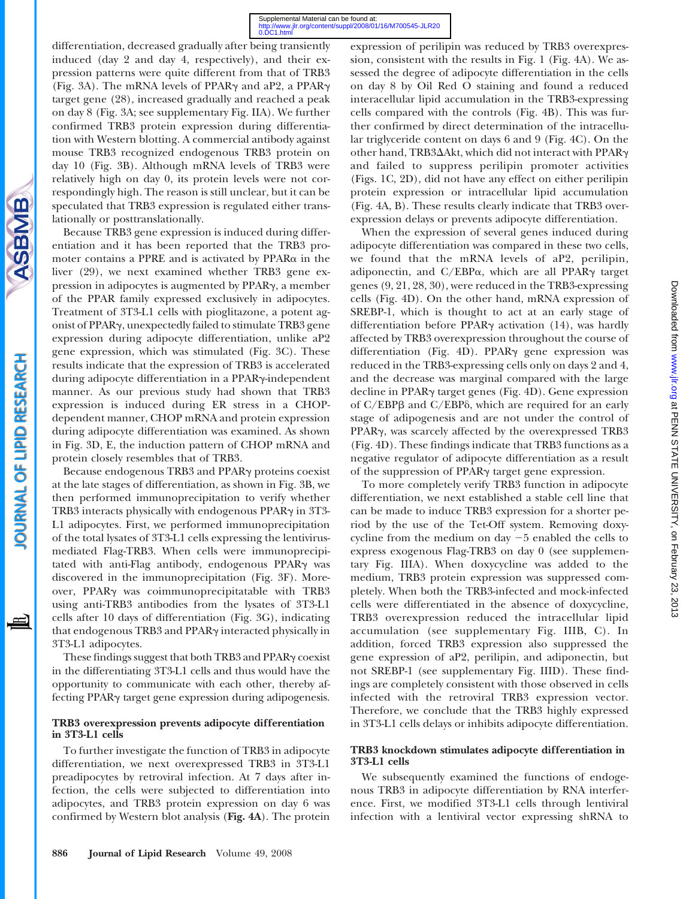differentiation, decreased gradually after being transiently induced (day 2 and day 4, respectively), and their expression patterns were quite different from that of TRB3 (Fig. 3A). The mRNA levels of PPAR $\gamma$  and aP2, a PPAR $\gamma$ target gene (28), increased gradually and reached a peak on day 8 (Fig. 3A; see supplementary Fig. IIA). We further confirmed TRB3 protein expression during differentiation with Western blotting. A commercial antibody against mouse TRB3 recognized endogenous TRB3 protein on day 10 (Fig. 3B). Although mRNA levels of TRB3 were relatively high on day 0, its protein levels were not correspondingly high. The reason is still unclear, but it can be speculated that TRB3 expression is regulated either translationally or posttranslationally.

Because TRB3 gene expression is induced during differentiation and it has been reported that the TRB3 promoter contains a PPRE and is activated by PPARa in the liver (29), we next examined whether TRB3 gene expression in adipocytes is augmented by PPARg, a member of the PPAR family expressed exclusively in adipocytes. Treatment of 3T3-L1 cells with pioglitazone, a potent agonist of PPARg, unexpectedly failed to stimulate TRB3 gene expression during adipocyte differentiation, unlike aP2 gene expression, which was stimulated (Fig. 3C). These results indicate that the expression of TRB3 is accelerated during adipocyte differentiation in a PPARy-independent manner. As our previous study had shown that TRB3 expression is induced during ER stress in a CHOPdependent manner, CHOP mRNA and protein expression during adipocyte differentiation was examined. As shown in Fig. 3D, E, the induction pattern of CHOP mRNA and protein closely resembles that of TRB3.

Because endogenous TRB3 and PPARg proteins coexist at the late stages of differentiation, as shown in Fig. 3B, we then performed immunoprecipitation to verify whether TRB3 interacts physically with endogenous PPAR $\gamma$  in 3T3-L1 adipocytes. First, we performed immunoprecipitation of the total lysates of 3T3-L1 cells expressing the lentivirusmediated Flag-TRB3. When cells were immunoprecipitated with anti-Flag antibody, endogenous PPARy was discovered in the immunoprecipitation (Fig. 3F). Moreover, PPARg was coimmunoprecipitatable with TRB3 using anti-TRB3 antibodies from the lysates of 3T3-L1 cells after 10 days of differentiation (Fig. 3G), indicating that endogenous TRB3 and PPARg interacted physically in 3T3-L1 adipocytes.

These findings suggest that both TRB3 and PPAR<sub>y</sub> coexist in the differentiating 3T3-L1 cells and thus would have the opportunity to communicate with each other, thereby affecting PPARg target gene expression during adipogenesis.

## TRB3 overexpression prevents adipocyte differentiation in 3T3-L1 cells

To further investigate the function of TRB3 in adipocyte differentiation, we next overexpressed TRB3 in 3T3-L1 preadipocytes by retroviral infection. At 7 days after infection, the cells were subjected to differentiation into adipocytes, and TRB3 protein expression on day 6 was confirmed by Western blot analysis (Fig. 4A). The protein

expression of perilipin was reduced by TRB3 overexpression, consistent with the results in Fig. 1 (Fig. 4A). We assessed the degree of adipocyte differentiation in the cells on day 8 by Oil Red O staining and found a reduced interacellular lipid accumulation in the TRB3-expressing cells compared with the controls (Fig. 4B). This was further confirmed by direct determination of the intracellular triglyceride content on days 6 and 9 (Fig. 4C). On the other hand, TRB3 $\Delta$ Akt, which did not interact with PPAR $\gamma$ and failed to suppress perilipin promoter activities (Figs. 1C, 2D), did not have any effect on either perilipin protein expression or intracellular lipid accumulation (Fig. 4A, B). These results clearly indicate that TRB3 overexpression delays or prevents adipocyte differentiation.

When the expression of several genes induced during adipocyte differentiation was compared in these two cells, we found that the mRNA levels of aP2, perilipin, adiponectin, and  $C/EBP\alpha$ , which are all PPAR $\gamma$  target genes (9, 21, 28, 30), were reduced in the TRB3-expressing cells (Fig. 4D). On the other hand, mRNA expression of SREBP-1, which is thought to act at an early stage of differentiation before PPAR $\gamma$  activation (14), was hardly affected by TRB3 overexpression throughout the course of differentiation (Fig. 4D). PPAR $\gamma$  gene expression was reduced in the TRB3-expressing cells only on days 2 and 4, and the decrease was marginal compared with the large decline in PPARγ target genes (Fig. 4D). Gene expression of  $C/EBP\beta$  and  $C/EBP\delta$ , which are required for an early stage of adipogenesis and are not under the control of PPAR<sub>y</sub>, was scarcely affected by the overexpressed TRB3 (Fig. 4D). These findings indicate that TRB3 functions as a negative regulator of adipocyte differentiation as a result of the suppression of PPARg target gene expression.

To more completely verify TRB3 function in adipocyte differentiation, we next established a stable cell line that can be made to induce TRB3 expression for a shorter period by the use of the Tet-Off system. Removing doxycycline from the medium on day  $-5$  enabled the cells to express exogenous Flag-TRB3 on day 0 (see supplementary Fig. IIIA). When doxycycline was added to the medium, TRB3 protein expression was suppressed completely. When both the TRB3-infected and mock-infected cells were differentiated in the absence of doxycycline, TRB3 overexpression reduced the intracellular lipid accumulation (see supplementary Fig. IIIB, C). In addition, forced TRB3 expression also suppressed the gene expression of aP2, perilipin, and adiponectin, but not SREBP-1 (see supplementary Fig. IIID). These findings are completely consistent with those observed in cells infected with the retroviral TRB3 expression vector. Therefore, we conclude that the TRB3 highly expressed in 3T3-L1 cells delays or inhibits adipocyte differentiation.

# TRB3 knockdown stimulates adipocyte differentiation in 3T3-L1 cells

We subsequently examined the functions of endogenous TRB3 in adipocyte differentiation by RNA interference. First, we modified 3T3-L1 cells through lentiviral infection with a lentiviral vector expressing shRNA to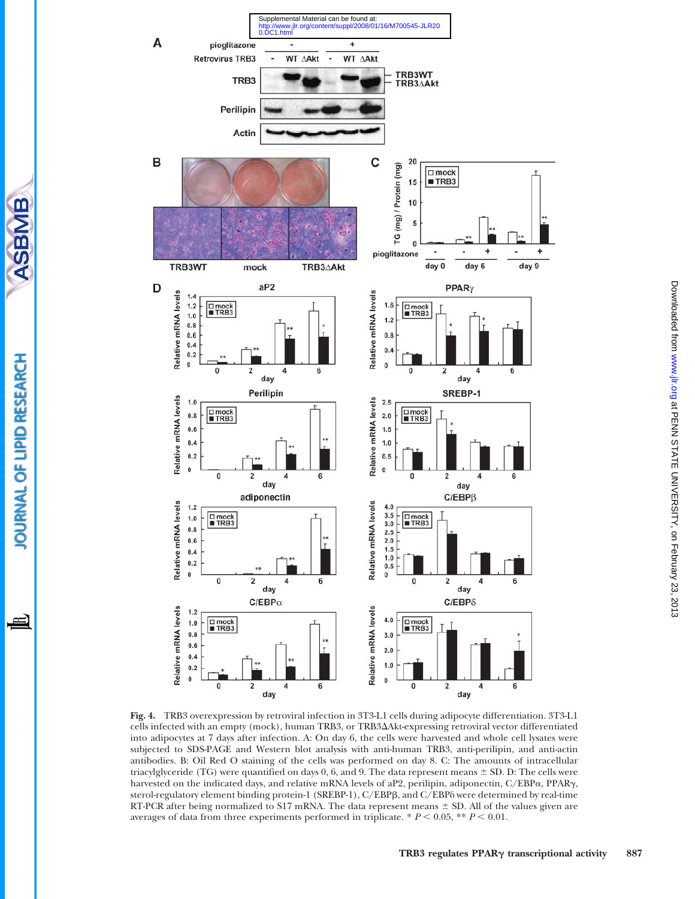

Fig. 4. TRB3 overexpression by retroviral infection in 3T3-L1 cells during adipocyte differentiation. 3T3-L1 cells infected with an empty (mock), human TRB3, or TRB3DAkt-expressing retroviral vector differentiated into adipocytes at 7 days after infection. A: On day 6, the cells were harvested and whole cell lysates were subjected to SDS-PAGE and Western blot analysis with anti-human TRB3, anti-perilipin, and anti-actin antibodies. B: Oil Red O staining of the cells was performed on day 8. C: The amounts of intracellular triacylglyceride (TG) were quantified on days 0, 6, and 9. The data represent means  $\pm$  SD. D: The cells were harvested on the indicated days, and relative mRNA levels of aP2, perilipin, adiponectin, C/EBPa, PPARg, sterol-regulatory element binding protein-1 (SREBP-1), C/EBPB, and C/EBPô were determined by real-time RT-PCR after being normalized to S17 mRNA. The data represent means  $\pm$  SD. All of the values given are averages of data from three experiments performed in triplicate.  $* P < 0.05$ ,  $* P < 0.01$ .

直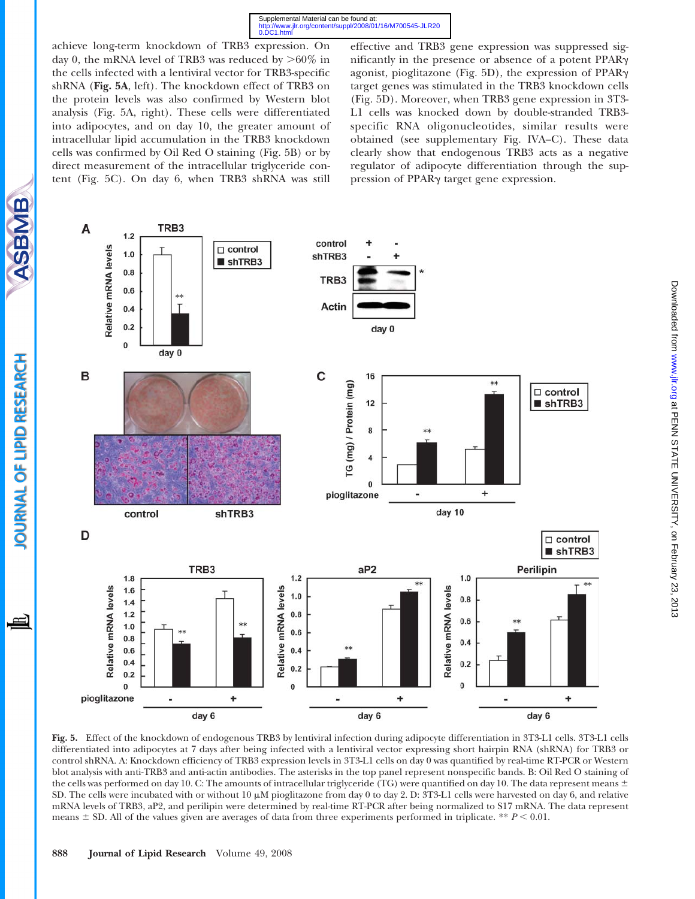achieve long-term knockdown of TRB3 expression. On day 0, the mRNA level of TRB3 was reduced by  $>60\%$  in the cells infected with a lentiviral vector for TRB3-specific shRNA (Fig. 5A, left). The knockdown effect of TRB3 on the protein levels was also confirmed by Western blot analysis (Fig. 5A, right). These cells were differentiated into adipocytes, and on day 10, the greater amount of intracellular lipid accumulation in the TRB3 knockdown cells was confirmed by Oil Red O staining (Fig. 5B) or by direct measurement of the intracellular triglyceride content (Fig. 5C). On day 6, when TRB3 shRNA was still

effective and TRB3 gene expression was suppressed significantly in the presence or absence of a potent PPARg agonist, pioglitazone (Fig. 5D), the expression of PPARg target genes was stimulated in the TRB3 knockdown cells (Fig. 5D). Moreover, when TRB3 gene expression in 3T3- L1 cells was knocked down by double-stranded TRB3 specific RNA oligonucleotides, similar results were obtained (see supplementary Fig. IVA–C). These data clearly show that endogenous TRB3 acts as a negative regulator of adipocyte differentiation through the suppression of PPARg target gene expression.



Fig. 5. Effect of the knockdown of endogenous TRB3 by lentiviral infection during adipocyte differentiation in 3T3-L1 cells. 3T3-L1 cells differentiated into adipocytes at 7 days after being infected with a lentiviral vector expressing short hairpin RNA (shRNA) for TRB3 or control shRNA. A: Knockdown efficiency of TRB3 expression levels in 3T3-L1 cells on day 0 was quantified by real-time RT-PCR or Western blot analysis with anti-TRB3 and anti-actin antibodies. The asterisks in the top panel represent nonspecific bands. B: Oil Red O staining of the cells was performed on day 10. C: The amounts of intracellular triglyceride (TG) were quantified on day 10. The data represent means  $\pm$ SD. The cells were incubated with or without 10  $\mu$ M pioglitazone from day 0 to day 2. D: 3T3-L1 cells were harvested on day 6, and relative mRNA levels of TRB3, aP2, and perilipin were determined by real-time RT-PCR after being normalized to S17 mRNA. The data represent means  $\pm$  SD. All of the values given are averages of data from three experiments performed in triplicate. \*\*  $P$  < 0.01.

SBMB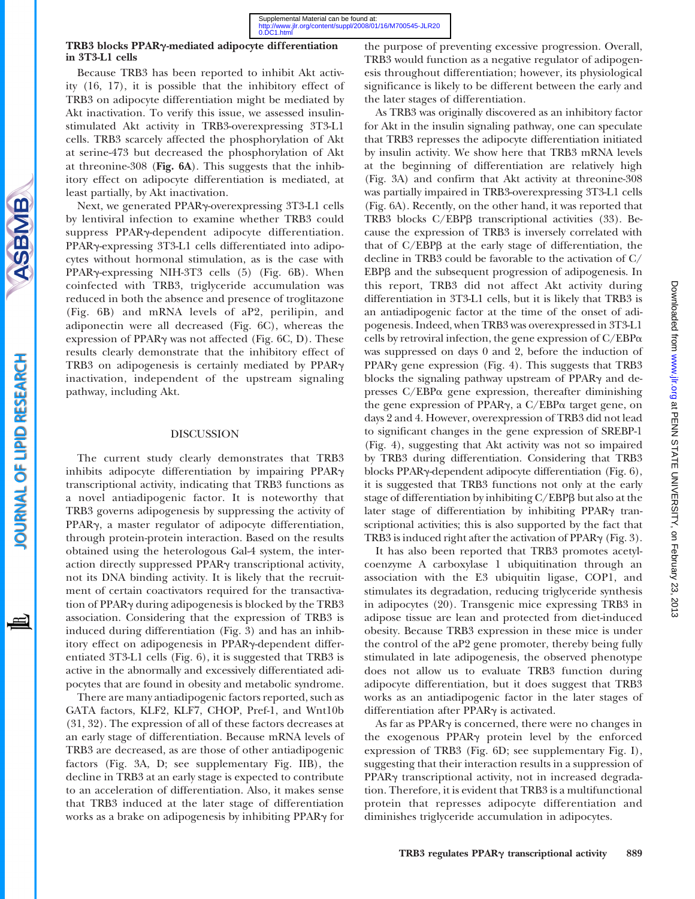## TRB3 blocks PPARg-mediated adipocyte differentiation in 3T3-L1 cells

Because TRB3 has been reported to inhibit Akt activity (16, 17), it is possible that the inhibitory effect of TRB3 on adipocyte differentiation might be mediated by Akt inactivation. To verify this issue, we assessed insulinstimulated Akt activity in TRB3-overexpressing 3T3-L1 cells. TRB3 scarcely affected the phosphorylation of Akt at serine-473 but decreased the phosphorylation of Akt at threonine-308 (Fig. 6A). This suggests that the inhibitory effect on adipocyte differentiation is mediated, at least partially, by Akt inactivation.

Next, we generated PPARg-overexpressing 3T3-L1 cells by lentiviral infection to examine whether TRB3 could suppress PPARg-dependent adipocyte differentiation. PPAR<sub>Y</sub>-expressing 3T3-L1 cells differentiated into adipocytes without hormonal stimulation, as is the case with PPAR<sub>Y</sub>-expressing NIH-3T3 cells (5) (Fig. 6B). When coinfected with TRB3, triglyceride accumulation was reduced in both the absence and presence of troglitazone (Fig. 6B) and mRNA levels of aP2, perilipin, and adiponectin were all decreased (Fig. 6C), whereas the expression of PPAR $\gamma$  was not affected (Fig. 6C, D). These results clearly demonstrate that the inhibitory effect of TRB3 on adipogenesis is certainly mediated by PPAR $\gamma$ inactivation, independent of the upstream signaling pathway, including Akt.

#### DISCUSSION

The current study clearly demonstrates that TRB3 inhibits adipocyte differentiation by impairing PPARg transcriptional activity, indicating that TRB3 functions as a novel antiadipogenic factor. It is noteworthy that TRB3 governs adipogenesis by suppressing the activity of PPAR<sub>y</sub>, a master regulator of adipocyte differentiation, through protein-protein interaction. Based on the results obtained using the heterologous Gal-4 system, the interaction directly suppressed PPARg transcriptional activity, not its DNA binding activity. It is likely that the recruitment of certain coactivators required for the transactivation of PPARg during adipogenesis is blocked by the TRB3 association. Considering that the expression of TRB3 is induced during differentiation (Fig. 3) and has an inhibitory effect on adipogenesis in PPARg-dependent differentiated 3T3-L1 cells (Fig. 6), it is suggested that TRB3 is active in the abnormally and excessively differentiated adipocytes that are found in obesity and metabolic syndrome.

There are many antiadipogenic factors reported, such as GATA factors, KLF2, KLF7, CHOP, Pref-1, and Wnt10b (31, 32). The expression of all of these factors decreases at an early stage of differentiation. Because mRNA levels of TRB3 are decreased, as are those of other antiadipogenic factors (Fig. 3A, D; see supplementary Fig. IIB), the decline in TRB3 at an early stage is expected to contribute to an acceleration of differentiation. Also, it makes sense that TRB3 induced at the later stage of differentiation works as a brake on adipogenesis by inhibiting PPARg for

the purpose of preventing excessive progression. Overall, TRB3 would function as a negative regulator of adipogenesis throughout differentiation; however, its physiological significance is likely to be different between the early and the later stages of differentiation.

As TRB3 was originally discovered as an inhibitory factor for Akt in the insulin signaling pathway, one can speculate that TRB3 represses the adipocyte differentiation initiated by insulin activity. We show here that TRB3 mRNA levels at the beginning of differentiation are relatively high (Fig. 3A) and confirm that Akt activity at threonine-308 was partially impaired in TRB3-overexpressing 3T3-L1 cells (Fig. 6A). Recently, on the other hand, it was reported that TRB3 blocks C/EBPß transcriptional activities (33). Because the expression of TRB3 is inversely correlated with that of  $C/EBP\beta$  at the early stage of differentiation, the decline in TRB3 could be favorable to the activation of C/ EBP<sub>B</sub> and the subsequent progression of adipogenesis. In this report, TRB3 did not affect Akt activity during differentiation in 3T3-L1 cells, but it is likely that TRB3 is an antiadipogenic factor at the time of the onset of adipogenesis. Indeed, when TRB3 was overexpressed in 3T3-L1 cells by retroviral infection, the gene expression of  $C/EBP\alpha$ was suppressed on days 0 and 2, before the induction of PPAR $\gamma$  gene expression (Fig. 4). This suggests that TRB3 blocks the signaling pathway upstream of  $PPAR\gamma$  and depresses  $C/EBP\alpha$  gene expression, thereafter diminishing the gene expression of PPAR $\gamma$ , a C/EBP $\alpha$  target gene, on days 2 and 4. However, overexpression of TRB3 did not lead to significant changes in the gene expression of SREBP-1 (Fig. 4), suggesting that Akt activity was not so impaired by TRB3 during differentiation. Considering that TRB3 blocks PPARg-dependent adipocyte differentiation (Fig. 6), it is suggested that TRB3 functions not only at the early stage of differentiation by inhibiting C/EBPB but also at the later stage of differentiation by inhibiting PPAR $\gamma$  transcriptional activities; this is also supported by the fact that TRB3 is induced right after the activation of PPAR $\gamma$  (Fig. 3).

It has also been reported that TRB3 promotes acetylcoenzyme A carboxylase 1 ubiquitination through an association with the E3 ubiquitin ligase, COP1, and stimulates its degradation, reducing triglyceride synthesis in adipocytes (20). Transgenic mice expressing TRB3 in adipose tissue are lean and protected from diet-induced obesity. Because TRB3 expression in these mice is under the control of the aP2 gene promoter, thereby being fully stimulated in late adipogenesis, the observed phenotype does not allow us to evaluate TRB3 function during adipocyte differentiation, but it does suggest that TRB3 works as an antiadipogenic factor in the later stages of differentiation after PPARg is activated.

As far as PPAR $\gamma$  is concerned, there were no changes in the exogenous PPARg protein level by the enforced expression of TRB3 (Fig. 6D; see supplementary Fig. I), suggesting that their interaction results in a suppression of PPAR<sub>Y</sub> transcriptional activity, not in increased degradation. Therefore, it is evident that TRB3 is a multifunctional protein that represses adipocyte differentiation and diminishes triglyceride accumulation in adipocytes.

**SBMB** 

**OURNAL OF LIPID RESEARCH**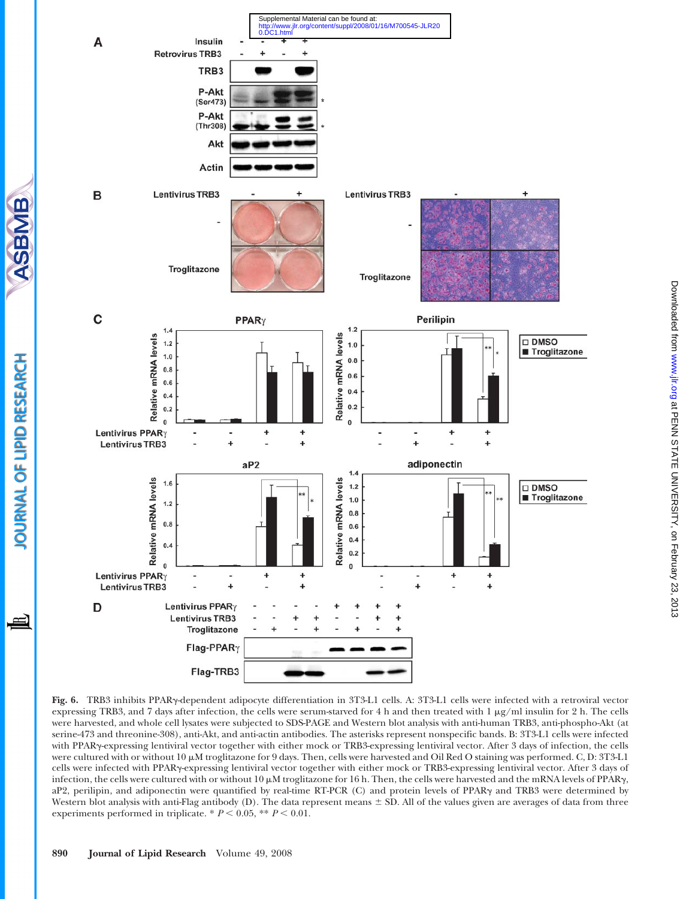

Fig. 6. TRB3 inhibits PPARg-dependent adipocyte differentiation in 3T3-L1 cells. A: 3T3-L1 cells were infected with a retroviral vector expressing TRB3, and 7 days after infection, the cells were serum-starved for 4 h and then treated with  $1 \mu g/ml$  insulin for 2 h. The cells were harvested, and whole cell lysates were subjected to SDS-PAGE and Western blot analysis with anti-human TRB3, anti-phospho-Akt (at serine-473 and threonine-308), anti-Akt, and anti-actin antibodies. The asterisks represent nonspecific bands. B: 3T3-L1 cells were infected with PPARg-expressing lentiviral vector together with either mock or TRB3-expressing lentiviral vector. After 3 days of infection, the cells were cultured with or without  $10 \mu$ M troglitazone for 9 days. Then, cells were harvested and Oil Red O staining was performed. C, D: 3T3-L1 cells were infected with PPARg-expressing lentiviral vector together with either mock or TRB3-expressing lentiviral vector. After 3 days of infection, the cells were cultured with or without  $10 \mu M$  troglitazone for 16 h. Then, the cells were harvested and the mRNA levels of PPAR $\gamma$ , aP2, perilipin, and adiponectin were quantified by real-time RT-PCR (C) and protein levels of PPARy and TRB3 were determined by Western blot analysis with anti-Flag antibody (D). The data represent means  $\pm$  SD. All of the values given are averages of data from three experiments performed in triplicate. \*  $P < 0.05$ , \*\*  $P < 0.01$ .

**SBMB** 

**OURNAL OF LIPID RESEARCH** 

≝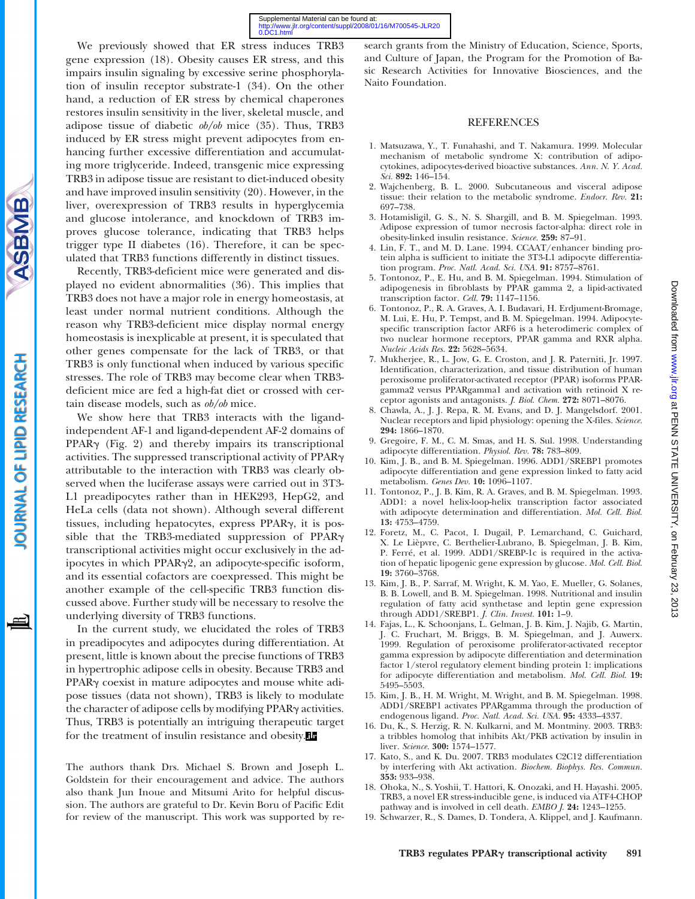We previously showed that ER stress induces TRB3 gene expression (18). Obesity causes ER stress, and this impairs insulin signaling by excessive serine phosphorylation of insulin receptor substrate-1 (34). On the other hand, a reduction of ER stress by chemical chaperones restores insulin sensitivity in the liver, skeletal muscle, and adipose tissue of diabetic ob/ob mice (35). Thus, TRB3 induced by ER stress might prevent adipocytes from enhancing further excessive differentiation and accumulating more triglyceride. Indeed, transgenic mice expressing TRB3 in adipose tissue are resistant to diet-induced obesity and have improved insulin sensitivity (20). However, in the liver, overexpression of TRB3 results in hyperglycemia and glucose intolerance, and knockdown of TRB3 improves glucose tolerance, indicating that TRB3 helps trigger type II diabetes (16). Therefore, it can be speculated that TRB3 functions differently in distinct tissues.

Recently, TRB3-deficient mice were generated and displayed no evident abnormalities (36). This implies that TRB3 does not have a major role in energy homeostasis, at least under normal nutrient conditions. Although the reason why TRB3-deficient mice display normal energy homeostasis is inexplicable at present, it is speculated that other genes compensate for the lack of TRB3, or that TRB3 is only functional when induced by various specific stresses. The role of TRB3 may become clear when TRB3 deficient mice are fed a high-fat diet or crossed with certain disease models, such as ob/ob mice.

We show here that TRB3 interacts with the ligandindependent AF-1 and ligand-dependent AF-2 domains of PPAR<sub>y</sub> (Fig. 2) and thereby impairs its transcriptional activities. The suppressed transcriptional activity of PPARg attributable to the interaction with TRB3 was clearly observed when the luciferase assays were carried out in 3T3- L1 preadipocytes rather than in HEK293, HepG2, and HeLa cells (data not shown). Although several different tissues, including hepatocytes, express PPARg, it is possible that the TRB3-mediated suppression of PPARg transcriptional activities might occur exclusively in the adipocytes in which PPARg2, an adipocyte-specific isoform, and its essential cofactors are coexpressed. This might be another example of the cell-specific TRB3 function discussed above. Further study will be necessary to resolve the underlying diversity of TRB3 functions.

In the current study, we elucidated the roles of TRB3 in preadipocytes and adipocytes during differentiation. At present, little is known about the precise functions of TRB3 in hypertrophic adipose cells in obesity. Because TRB3 and PPAR<sub>y</sub> coexist in mature adipocytes and mouse white adipose tissues (data not shown), TRB3 is likely to modulate the character of adipose cells by modifying PPAR<sub>Y</sub> activities. Thus, TRB3 is potentially an intriguing therapeutic target for the treatment of insulin resistance and obesity.

The authors thank Drs. Michael S. Brown and Joseph L. Goldstein for their encouragement and advice. The authors also thank Jun Inoue and Mitsumi Arito for helpful discussion. The authors are grateful to Dr. Kevin Boru of Pacific Edit for review of the manuscript. This work was supported by re-

search grants from the Ministry of Education, Science, Sports, and Culture of Japan, the Program for the Promotion of Basic Research Activities for Innovative Biosciences, and the Naito Foundation.

#### REFERENCES

- 1. Matsuzawa, Y., T. Funahashi, and T. Nakamura. 1999. Molecular mechanism of metabolic syndrome X: contribution of adipocytokines, adipocytes-derived bioactive substances. Ann. N. Y. Acad. Sci. 892: 146–154.
- 2. Wajchenberg, B. L. 2000. Subcutaneous and visceral adipose tissue: their relation to the metabolic syndrome. Endocr. Rev. 21: 697–738.
- 3. Hotamisligil, G. S., N. S. Shargill, and B. M. Spiegelman. 1993. Adipose expression of tumor necrosis factor-alpha: direct role in obesity-linked insulin resistance. Science. 259: 87–91.
- 4. Lin, F. T., and M. D. Lane. 1994. CCAAT/enhancer binding protein alpha is sufficient to initiate the 3T3-L1 adipocyte differentiation program. Proc. Natl. Acad. Sci. USA. 91: 8757–8761.
- 5. Tontonoz, P., E. Hu, and B. M. Spiegelman. 1994. Stimulation of adipogenesis in fibroblasts by PPAR gamma 2, a lipid-activated transcription factor. Cell. 79: 1147-1156.
- 6. Tontonoz, P., R. A. Graves, A. I. Budavari, H. Erdjument-Bromage, M. Lui, E. Hu, P. Tempst, and B. M. Spiegelman. 1994. Adipocytespecific transcription factor ARF6 is a heterodimeric complex of two nuclear hormone receptors, PPAR gamma and RXR alpha. Nucleic Acids Res. 22: 5628–5634.
- 7. Mukherjee, R., L. Jow, G. E. Croston, and J. R. Paterniti, Jr. 1997. Identification, characterization, and tissue distribution of human peroxisome proliferator-activated receptor (PPAR) isoforms PPARgamma2 versus PPARgamma1 and activation with retinoid X receptor agonists and antagonists. J. Biol. Chem. 272: 8071–8076.
- 8. Chawla, A., J. J. Repa, R. M. Evans, and D. J. Mangelsdorf. 2001. Nuclear receptors and lipid physiology: opening the X-files. Science. 294: 1866–1870.
- 9. Gregoire, F. M., C. M. Smas, and H. S. Sul. 1998. Understanding adipocyte differentiation. Physiol. Rev. 78: 783–809.
- 10. Kim, J. B., and B. M. Spiegelman. 1996. ADD1/SREBP1 promotes adipocyte differentiation and gene expression linked to fatty acid metabolism. Genes Dev. 10: 1096–1107.
- 11. Tontonoz, P., J. B. Kim, R. A. Graves, and B. M. Spiegelman. 1993. ADD1: a novel helix-loop-helix transcription factor associated with adipocyte determination and differentiation. Mol. Cell. Biol. 13: 4753–4759.
- 12. Foretz, M., C. Pacot, I. Dugail, P. Lemarchand, C. Guichard, X. Le Lièpvre, C. Berthelier-Lubrano, B. Spiegelman, J. B. Kim, P. Ferré, et al. 1999. ADD1/SREBP-1c is required in the activation of hepatic lipogenic gene expression by glucose. Mol. Cell. Biol. 19: 3760–3768.
- 13. Kim, J. B., P. Sarraf, M. Wright, K. M. Yao, E. Mueller, G. Solanes, B. B. Lowell, and B. M. Spiegelman. 1998. Nutritional and insulin regulation of fatty acid synthetase and leptin gene expression through ADD1/SREBP1. J. Clin. Invest. 101: 1–9.
- 14. Fajas, L., K. Schoonjans, L. Gelman, J. B. Kim, J. Najib, G. Martin, J. C. Fruchart, M. Briggs, B. M. Spiegelman, and J. Auwerx. 1999. Regulation of peroxisome proliferator-activated receptor gamma expression by adipocyte differentiation and determination factor 1/sterol regulatory element binding protein 1: implications for adipocyte differentiation and metabolism. Mol. Cell. Biol. 19: 5495–5503.
- 15. Kim, J. B., H. M. Wright, M. Wright, and B. M. Spiegelman. 1998. ADD1/SREBP1 activates PPARgamma through the production of endogenous ligand. Proc. Natl. Acad. Sci. USA. 95: 4333–4337.
- 16. Du, K., S. Herzig, R. N. Kulkarni, and M. Montminy. 2003. TRB3: a tribbles homolog that inhibits Akt/PKB activation by insulin in liver. Science. 300: 1574–1577.
- 17. Kato, S., and K. Du. 2007. TRB3 modulates C2C12 differentiation by interfering with Akt activation. Biochem. Biophys. Res. Commun. 353: 933–938.
- 18. Ohoka, N., S. Yoshii, T. Hattori, K. Onozaki, and H. Hayashi. 2005. TRB3, a novel ER stress-inducible gene, is induced via ATF4-CHOP pathway and is involved in cell death. EMBO J. 24: 1243–1255.
- 19. Schwarzer, R., S. Dames, D. Tondera, A. Klippel, and J. Kaufmann.